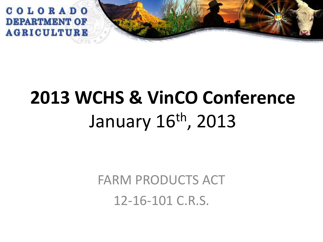

# **2013 WCHS & VinCO Conference** January 16th, 2013

FARM PRODUCTS ACT 12-16-101 C.R.S.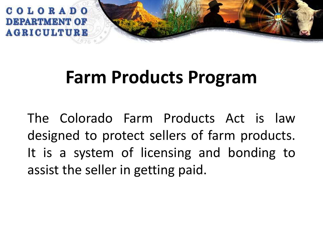

# **Farm Products Program**

The Colorado Farm Products Act is law designed to protect sellers of farm products. It is a system of licensing and bonding to assist the seller in getting paid.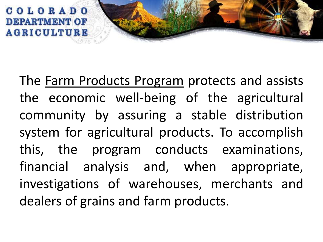

The Farm Products Program protects and assists the economic well-being of the agricultural community by assuring a stable distribution system for agricultural products. To accomplish this, the program conducts examinations, financial analysis and, when appropriate, investigations of warehouses, merchants and dealers of grains and farm products.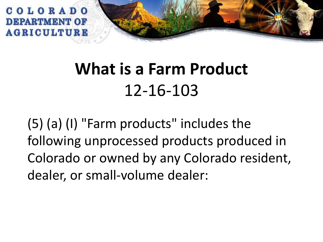

# **What is a Farm Product** 12-16-103

(5) (a) (I) "Farm products" includes the following unprocessed products produced in Colorado or owned by any Colorado resident, dealer, or small-volume dealer: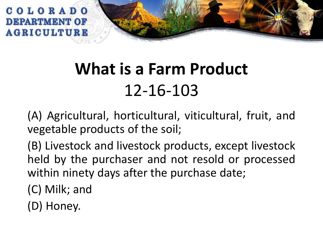

# **What is a Farm Product** 12-16-103

(A) Agricultural, horticultural, viticultural, fruit, and vegetable products of the soil;

(B) Livestock and livestock products, except livestock held by the purchaser and not resold or processed within ninety days after the purchase date;

(C) Milk; and

(D) Honey.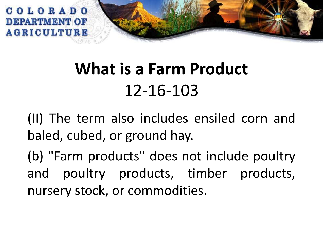

# **What is a Farm Product** 12-16-103

(II) The term also includes ensiled corn and baled, cubed, or ground hay.

(b) "Farm products" does not include poultry and poultry products, timber products, nursery stock, or commodities.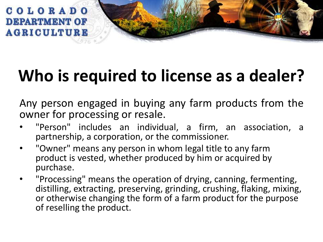

Any person engaged in buying any farm products from the owner for processing or resale.

- "Person" includes an individual, a firm, an association, a partnership, a corporation, or the commissioner.
- "Owner" means any person in whom legal title to any farm product is vested, whether produced by him or acquired by purchase.
- "Processing" means the operation of drying, canning, fermenting, distilling, extracting, preserving, grinding, crushing, flaking, mixing, or otherwise changing the form of a farm product for the purpose of reselling the product.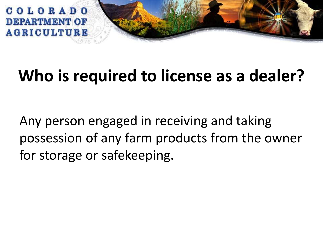

Any person engaged in receiving and taking possession of any farm products from the owner for storage or safekeeping.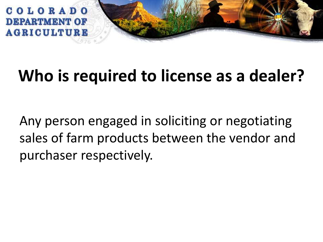

Any person engaged in soliciting or negotiating sales of farm products between the vendor and purchaser respectively.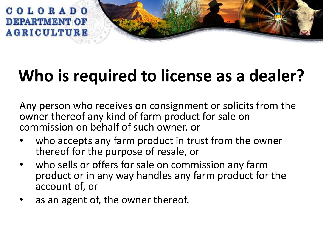

Any person who receives on consignment or solicits from the owner thereof any kind of farm product for sale on commission on behalf of such owner, or

- who accepts any farm product in trust from the owner thereof for the purpose of resale, or
- who sells or offers for sale on commission any farm product or in any way handles any farm product for the account of, or
- as an agent of, the owner thereof.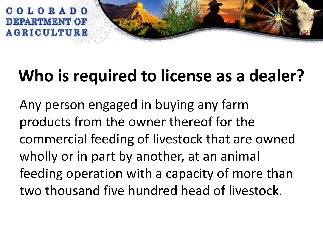

Any person engaged in buying any farm products from the owner thereof for the commercial feeding of livestock that are owned wholly or in part by another, at an animal feeding operation with a capacity of more than two thousand five hundred head of livestock.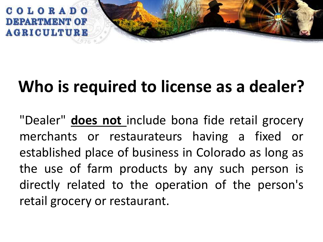

"Dealer" **does not** include bona fide retail grocery merchants or restaurateurs having a fixed or established place of business in Colorado as long as the use of farm products by any such person is directly related to the operation of the person's retail grocery or restaurant.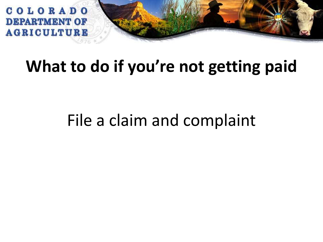

#### **What to do if you're not getting paid**

### File a claim and complaint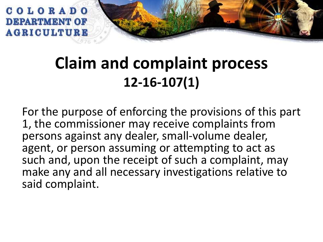

#### **Claim and complaint process 12-16-107(1)**

For the purpose of enforcing the provisions of this part 1, the commissioner may receive complaints from persons against any dealer, small-volume dealer, agent, or person assuming or attempting to act as such and, upon the receipt of such a complaint, may make any and all necessary investigations relative to said complaint.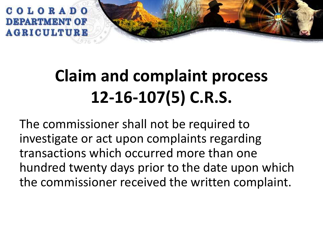

# **Claim and complaint process 12-16-107(5) C.R.S.**

The commissioner shall not be required to investigate or act upon complaints regarding transactions which occurred more than one hundred twenty days prior to the date upon which the commissioner received the written complaint.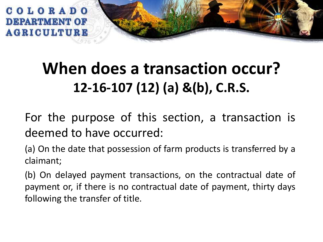

#### **When does a transaction occur? 12-16-107 (12) (a) &(b), C.R.S.**

For the purpose of this section, a transaction is deemed to have occurred:

(a) On the date that possession of farm products is transferred by a claimant;

(b) On delayed payment transactions, on the contractual date of payment or, if there is no contractual date of payment, thirty days following the transfer of title.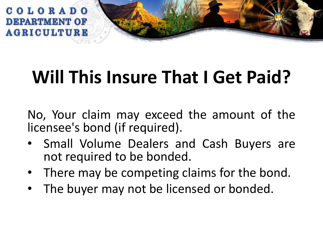

# **Will This Insure That I Get Paid?**

No, Your claim may exceed the amount of the licensee's bond (if required).

- Small Volume Dealers and Cash Buyers are not required to be bonded.
- There may be competing claims for the bond.
- The buyer may not be licensed or bonded.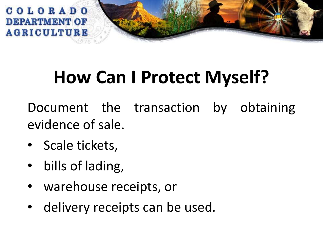

# **How Can I Protect Myself?**

Document the transaction by obtaining evidence of sale.

- Scale tickets,
- bills of lading,
- warehouse receipts, or
- delivery receipts can be used.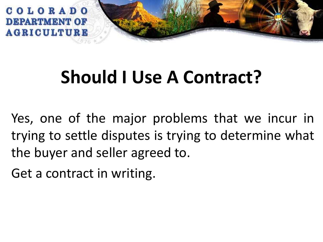

# **Should I Use A Contract?**

Yes, one of the major problems that we incur in trying to settle disputes is trying to determine what the buyer and seller agreed to.

Get a contract in writing.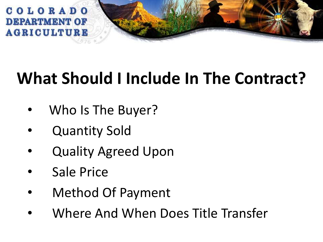

# **What Should I Include In The Contract?**

- Who Is The Buyer?
- **Quantity Sold**
- Quality Agreed Upon
- Sale Price
- Method Of Payment
- Where And When Does Title Transfer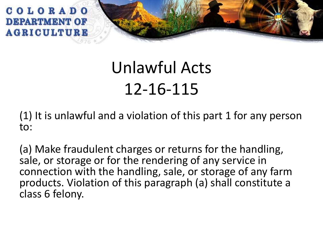

(1) It is unlawful and a violation of this part 1 for any person to:

(a) Make fraudulent charges or returns for the handling, sale, or storage or for the rendering of any service in connection with the handling, sale, or storage of any farm products. Violation of this paragraph (a) shall constitute a class 6 felony.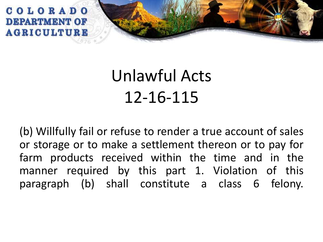

(b) Willfully fail or refuse to render a true account of sales or storage or to make a settlement thereon or to pay for farm products received within the time and in the manner required by this part 1. Violation of this paragraph (b) shall constitute a class 6 felony.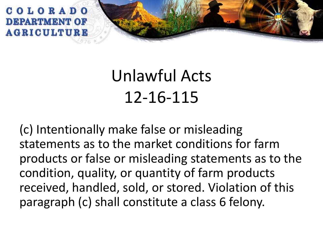

(c) Intentionally make false or misleading statements as to the market conditions for farm products or false or misleading statements as to the condition, quality, or quantity of farm products received, handled, sold, or stored. Violation of this paragraph (c) shall constitute a class 6 felony.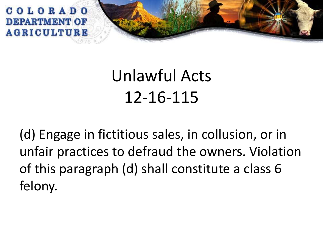

(d) Engage in fictitious sales, in collusion, or in unfair practices to defraud the owners. Violation of this paragraph (d) shall constitute a class 6 felony.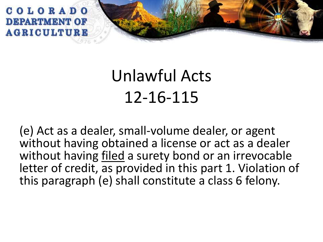

(e) Act as a dealer, small-volume dealer, or agent without having obtained a license or act as a dealer without having filed a surety bond or an irrevocable letter of credit, as provided in this part 1. Violation of this paragraph (e) shall constitute a class 6 felony.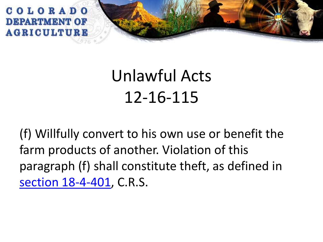

(f) Willfully convert to his own use or benefit the farm products of another. Violation of this paragraph (f) shall constitute theft, as defined in [section 18-4-401,](http://web.lexisnexis.com/research/buttonTFLink?_m=a7f335dbba20041e97dad93e3b937aaa&_xfercite=<cite cc="USA"><![CDATA[C.R.S. 12-16-115]]></cite>&_butType=4&_butStat=0&_butNum=2&_butInline=1&_butinfo=COCODE 18-4-401&_fmtstr=FULL&docnum=1&_startdoc=1&wchp=dGLzVzB-zSkAW&_md5=4b7dce4b90865446af020f7fadb25044) C.R.S.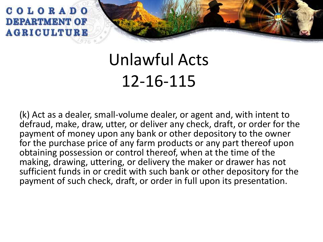

(k) Act as a dealer, small-volume dealer, or agent and, with intent to defraud, make, draw, utter, or deliver any check, draft, or order for the payment of money upon any bank or other depository to the owner for the purchase price of any farm products or any part thereof upon obtaining possession or control thereof, when at the time of the making, drawing, uttering, or delivery the maker or drawer has not sufficient funds in or credit with such bank or other depository for the payment of such check, draft, or order in full upon its presentation.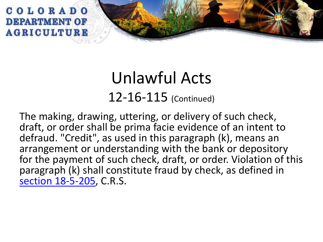

#### Unlawful Acts 12-16-115 (Continued)

The making, drawing, uttering, or delivery of such check, draft, or order shall be prima facie evidence of an intent to defraud. "Credit", as used in this paragraph (k), means an arrangement or understanding with the bank or depository for the payment of such check, draft, or order. Violation of this paragraph (k) shall constitute fraud by check, as defined in [section 18-5-205](http://web.lexisnexis.com/research/buttonTFLink?_m=a7f335dbba20041e97dad93e3b937aaa&_xfercite=<cite cc="USA"><![CDATA[C.R.S. 12-16-115]]></cite>&_butType=4&_butStat=0&_butNum=5&_butInline=1&_butinfo=COCODE 18-5-205&_fmtstr=FULL&docnum=1&_startdoc=1&wchp=dGLzVzB-zSkAW&_md5=bf325c0ad816a340d04ec2288ecde1cd), C.R.S.